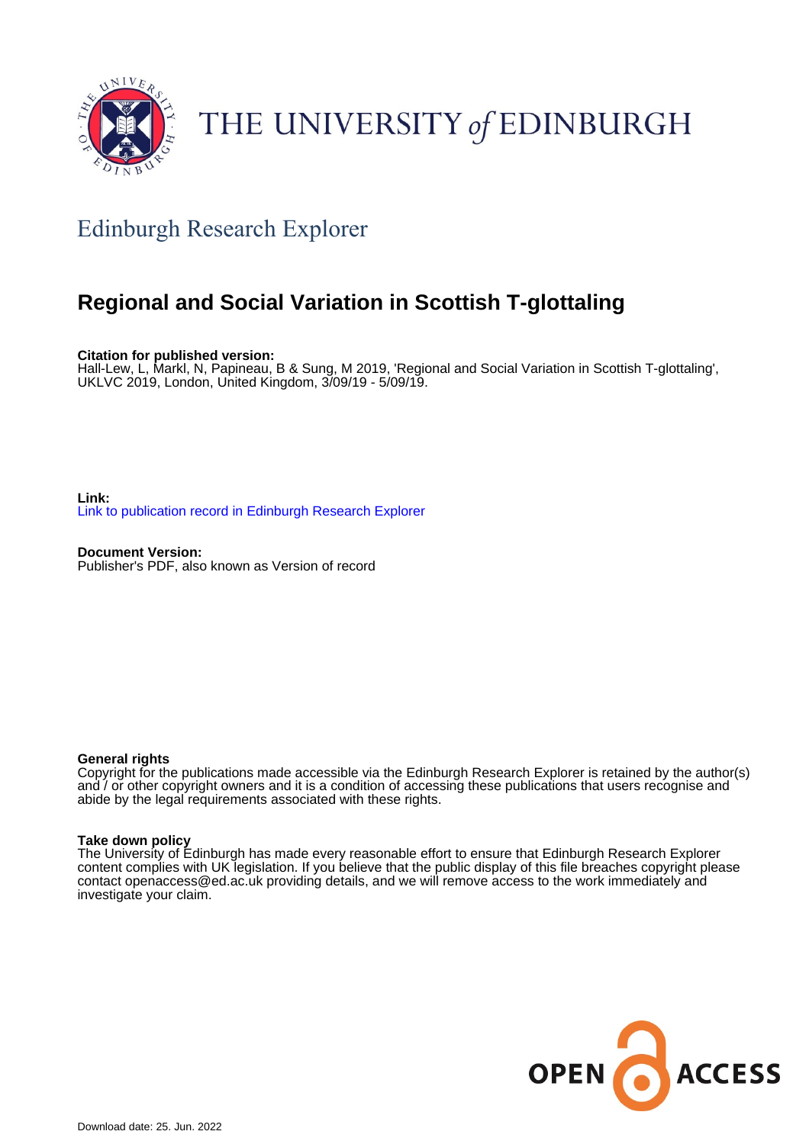

# THE UNIVERSITY of EDINBURGH

## Edinburgh Research Explorer

### **Regional and Social Variation in Scottish T-glottaling**

**Citation for published version:**

Hall-Lew, L, Markl, N, Papineau, B & Sung, M 2019, 'Regional and Social Variation in Scottish T-glottaling', UKLVC 2019, London, United Kingdom, 3/09/19 - 5/09/19.

**Link:** [Link to publication record in Edinburgh Research Explorer](https://www.research.ed.ac.uk/en/publications/83f51103-8347-4ca3-a6ba-7f1f23bc6359)

**Document Version:** Publisher's PDF, also known as Version of record

### **General rights**

Copyright for the publications made accessible via the Edinburgh Research Explorer is retained by the author(s) and / or other copyright owners and it is a condition of accessing these publications that users recognise and abide by the legal requirements associated with these rights.

### **Take down policy**

The University of Edinburgh has made every reasonable effort to ensure that Edinburgh Research Explorer content complies with UK legislation. If you believe that the public display of this file breaches copyright please contact openaccess@ed.ac.uk providing details, and we will remove access to the work immediately and investigate your claim.